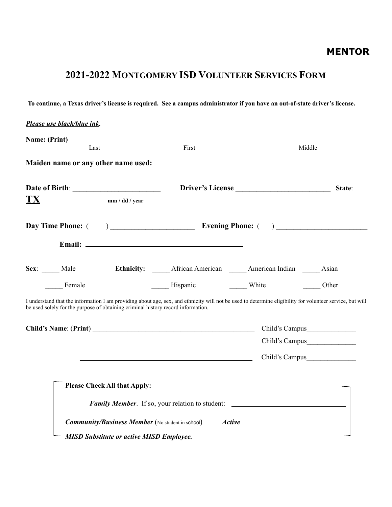## **2021-2022 MONTGOMERY ISD VOLUNTEER SERVICES FORM**

**To continue, a Texas driver's license is required. See a campus administrator if you have an out-of-state driver's license.** 

| Name: (Print)                                                                    | Last           | First                                                                                                                  | Middle                                                                                                                                                   |        |
|----------------------------------------------------------------------------------|----------------|------------------------------------------------------------------------------------------------------------------------|----------------------------------------------------------------------------------------------------------------------------------------------------------|--------|
|                                                                                  |                |                                                                                                                        |                                                                                                                                                          |        |
|                                                                                  |                |                                                                                                                        | Driver's License                                                                                                                                         | State: |
| TX                                                                               | mm / dd / year |                                                                                                                        |                                                                                                                                                          |        |
|                                                                                  |                |                                                                                                                        |                                                                                                                                                          |        |
|                                                                                  |                |                                                                                                                        |                                                                                                                                                          |        |
|                                                                                  |                | Sex: Male Ethnicity: African American Merican Indian Asian                                                             |                                                                                                                                                          |        |
| Female                                                                           |                | Hispanic White Other                                                                                                   |                                                                                                                                                          |        |
|                                                                                  |                |                                                                                                                        | I understand that the information I am providing about age, sex, and ethnicity will not be used to determine eligibility for volunteer service, but will |        |
|                                                                                  |                |                                                                                                                        |                                                                                                                                                          |        |
|                                                                                  |                |                                                                                                                        | Child's Campus                                                                                                                                           |        |
| be used solely for the purpose of obtaining criminal history record information. |                | <u> 1989 - Johann Barn, mars ann an t-Amhain ann an t-Amhain an t-Amhain an t-Amhain an t-Amhain an t-Amhain an t-</u> | Child's Campus                                                                                                                                           |        |